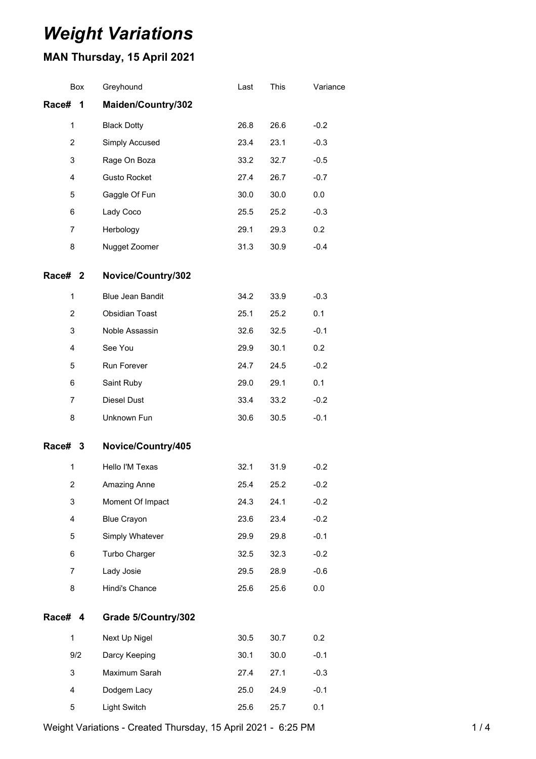# *Weight Variations*

# **MAN Thursday, 15 April 2021**

| Box            | Greyhound           | Last | This | Variance |
|----------------|---------------------|------|------|----------|
| Race#<br>1     | Maiden/Country/302  |      |      |          |
| 1              | <b>Black Dotty</b>  | 26.8 | 26.6 | $-0.2$   |
| $\overline{2}$ | Simply Accused      | 23.4 | 23.1 | $-0.3$   |
| 3              | Rage On Boza        | 33.2 | 32.7 | $-0.5$   |
| 4              | <b>Gusto Rocket</b> | 27.4 | 26.7 | $-0.7$   |
| 5              | Gaggle Of Fun       | 30.0 | 30.0 | 0.0      |
| 6              | Lady Coco           | 25.5 | 25.2 | $-0.3$   |
| 7              | Herbology           | 29.1 | 29.3 | 0.2      |
| 8              | Nugget Zoomer       | 31.3 | 30.9 | $-0.4$   |
| Race# 2        | Novice/Country/302  |      |      |          |
| 1              | Blue Jean Bandit    | 34.2 | 33.9 | $-0.3$   |
| $\overline{c}$ | Obsidian Toast      | 25.1 | 25.2 | 0.1      |
| 3              | Noble Assassin      | 32.6 | 32.5 | $-0.1$   |
| 4              | See You             | 29.9 | 30.1 | 0.2      |
| 5              | Run Forever         | 24.7 | 24.5 | $-0.2$   |
| 6              | Saint Ruby          | 29.0 | 29.1 | 0.1      |
| $\overline{7}$ | Diesel Dust         | 33.4 | 33.2 | $-0.2$   |
| 8              | Unknown Fun         | 30.6 | 30.5 | $-0.1$   |
| Race# 3        | Novice/Country/405  |      |      |          |
| 1              | Hello I'M Texas     | 32.1 | 31.9 | $-0.2$   |
| 2              | Amazing Anne        | 25.4 | 25.2 | $-0.2$   |
| 3              | Moment Of Impact    | 24.3 | 24.1 | $-0.2$   |
| 4              | <b>Blue Crayon</b>  | 23.6 | 23.4 | $-0.2$   |
| 5              | Simply Whatever     | 29.9 | 29.8 | $-0.1$   |
| 6              | Turbo Charger       | 32.5 | 32.3 | $-0.2$   |
| $\overline{7}$ | Lady Josie          | 29.5 | 28.9 | $-0.6$   |
| 8              | Hindi's Chance      | 25.6 | 25.6 | 0.0      |
| Race# 4        | Grade 5/Country/302 |      |      |          |
| $\mathbf{1}$   | Next Up Nigel       | 30.5 | 30.7 | 0.2      |
| 9/2            | Darcy Keeping       | 30.1 | 30.0 | $-0.1$   |
| 3              | Maximum Sarah       | 27.4 | 27.1 | $-0.3$   |
| 4              | Dodgem Lacy         | 25.0 | 24.9 | $-0.1$   |
| 5              | Light Switch        | 25.6 | 25.7 | 0.1      |

Weight Variations - Created Thursday, 15 April 2021 - 6:25 PM 1/4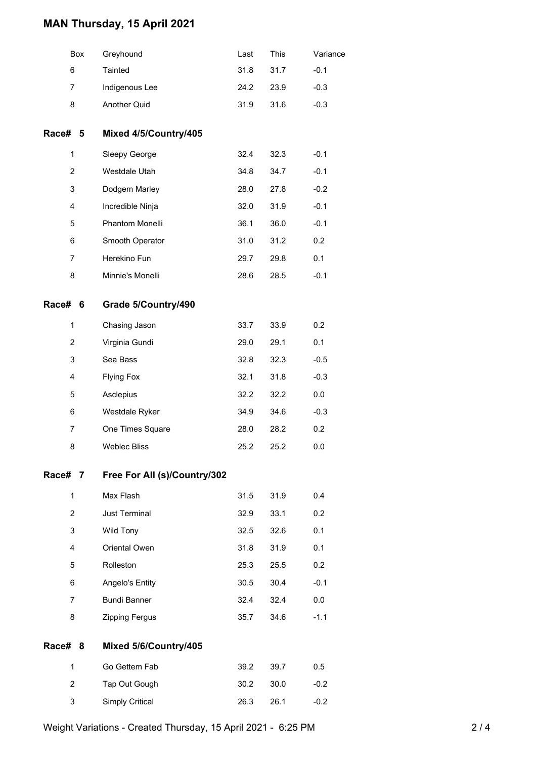## **MAN Thursday, 15 April 2021**

|         | Box                     | Greyhound                    | Last | This | Variance |
|---------|-------------------------|------------------------------|------|------|----------|
|         | 6                       | Tainted                      | 31.8 | 31.7 | $-0.1$   |
|         | 7                       | Indigenous Lee               | 24.2 | 23.9 | $-0.3$   |
|         | 8                       | Another Quid                 | 31.9 | 31.6 | $-0.3$   |
| Race# 5 |                         | Mixed 4/5/Country/405        |      |      |          |
|         | $\mathbf{1}$            | Sleepy George                | 32.4 | 32.3 | $-0.1$   |
|         | $\overline{2}$          | Westdale Utah                | 34.8 | 34.7 | $-0.1$   |
|         | 3                       | Dodgem Marley                | 28.0 | 27.8 | $-0.2$   |
|         | $\overline{\mathbf{4}}$ | Incredible Ninja             | 32.0 | 31.9 | $-0.1$   |
|         | 5                       | Phantom Monelli              | 36.1 | 36.0 | $-0.1$   |
|         | 6                       | Smooth Operator              | 31.0 | 31.2 | 0.2      |
|         | $\overline{7}$          | Herekino Fun                 | 29.7 | 29.8 | 0.1      |
|         | 8                       | Minnie's Monelli             | 28.6 | 28.5 | $-0.1$   |
| Race# 6 |                         | Grade 5/Country/490          |      |      |          |
|         | 1                       | Chasing Jason                | 33.7 | 33.9 | 0.2      |
|         | $\overline{2}$          | Virginia Gundi               | 29.0 | 29.1 | 0.1      |
|         | 3                       | Sea Bass                     | 32.8 | 32.3 | $-0.5$   |
|         | 4                       | <b>Flying Fox</b>            | 32.1 | 31.8 | $-0.3$   |
|         | 5                       | Asclepius                    | 32.2 | 32.2 | 0.0      |
|         | 6                       | Westdale Ryker               | 34.9 | 34.6 | $-0.3$   |
|         | $\overline{7}$          | One Times Square             | 28.0 | 28.2 | 0.2      |
|         | 8                       | <b>Weblec Bliss</b>          | 25.2 | 25.2 | 0.0      |
| Race# 7 |                         | Free For All (s)/Country/302 |      |      |          |
|         | $\mathbf{1}$            | Max Flash                    | 31.5 | 31.9 | 0.4      |
|         | $\overline{c}$          | Just Terminal                | 32.9 | 33.1 | 0.2      |
|         | 3                       | Wild Tony                    | 32.5 | 32.6 | 0.1      |
|         | 4                       | Oriental Owen                | 31.8 | 31.9 | 0.1      |
|         | 5                       | Rolleston                    | 25.3 | 25.5 | 0.2      |
|         | 6                       | Angelo's Entity              | 30.5 | 30.4 | $-0.1$   |
|         | $\overline{7}$          | <b>Bundi Banner</b>          | 32.4 | 32.4 | 0.0      |
|         | 8                       | Zipping Fergus               | 35.7 | 34.6 | $-1.1$   |
| Race# 8 |                         | Mixed 5/6/Country/405        |      |      |          |
|         | 1                       | Go Gettem Fab                | 39.2 | 39.7 | 0.5      |
|         | $\overline{2}$          | Tap Out Gough                | 30.2 | 30.0 | $-0.2$   |
|         | 3                       | <b>Simply Critical</b>       | 26.3 | 26.1 | $-0.2$   |
|         |                         |                              |      |      |          |

Weight Variations - Created Thursday, 15 April 2021 - 6:25 PM 2 / 4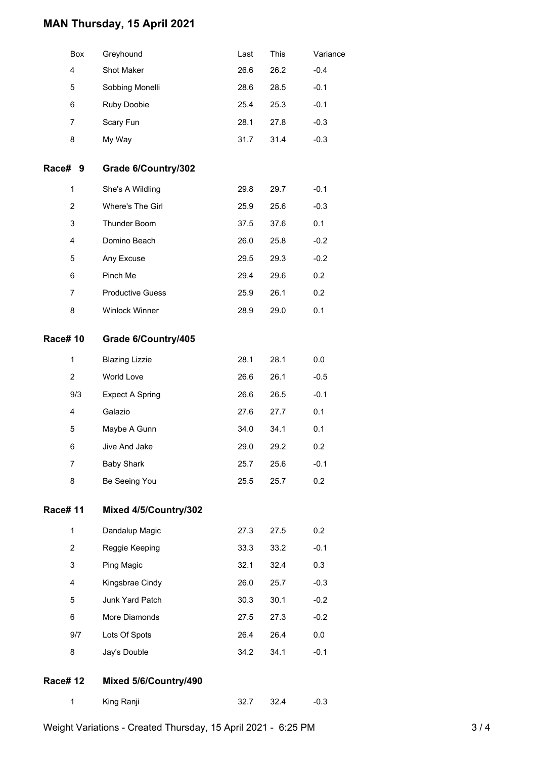### **MAN Thursday, 15 April 2021**

| <b>Box</b> | Greyhound          | Last | This | Variance |
|------------|--------------------|------|------|----------|
| 4          | <b>Shot Maker</b>  | 26.6 | 26.2 | $-0.4$   |
| 5          | Sobbing Monelli    | 28.6 | 28.5 | $-0.1$   |
| 6          | <b>Ruby Doobie</b> | 25.4 | 25.3 | $-0.1$   |
| 7          | Scary Fun          | 28.1 | 27.8 | $-0.3$   |
| 8          | My Way             | 31.7 | 31.4 | $-0.3$   |

#### **Race# 9 Grade 6/Country/302**

| 1 | She's A Wildling        | 29.8 | 29.7 | $-0.1$           |
|---|-------------------------|------|------|------------------|
| 2 | Where's The Girl        | 25.9 | 25.6 | $-0.3$           |
| 3 | <b>Thunder Boom</b>     | 37.5 | 37.6 | 0.1              |
| 4 | Domino Beach            | 26.0 | 25.8 | $-0.2$           |
| 5 | Any Excuse              | 29.5 | 29.3 | $-0.2$           |
| 6 | Pinch Me                | 29.4 | 29.6 | 0.2 <sub>0</sub> |
| 7 | <b>Productive Guess</b> | 25.9 | 26.1 | 0.2              |
| 8 | <b>Winlock Winner</b>   | 28.9 | 29.0 | 0.1              |

#### **Race# 10 Grade 6/Country/405**

| 1   | <b>Blazing Lizzie</b> | 28.1 | 28.1 | 0.0    |
|-----|-----------------------|------|------|--------|
| 2   | World Love            | 26.6 | 26.1 | $-0.5$ |
| 9/3 | Expect A Spring       | 26.6 | 26.5 | $-0.1$ |
| 4   | Galazio               | 27.6 | 27.7 | 0.1    |
| 5   | Maybe A Gunn          | 34.0 | 34.1 | 0.1    |
| 6   | Jive And Jake         | 29.0 | 29.2 | 0.2    |
| 7   | <b>Baby Shark</b>     | 25.7 | 25.6 | $-0.1$ |
| 8   | Be Seeing You         | 25.5 | 25.7 | 0.2    |

### **Race# 11 Mixed 4/5/Country/302**

| 1   | Dandalup Magic  | 27.3 | 27.5 | 0.2 <sub>0</sub> |
|-----|-----------------|------|------|------------------|
| 2   | Reggie Keeping  | 33.3 | 33.2 | $-0.1$           |
| 3   | Ping Magic      | 32.1 | 32.4 | 0.3              |
| 4   | Kingsbrae Cindy | 26.0 | 25.7 | $-0.3$           |
| 5   | Junk Yard Patch | 30.3 | 30.1 | $-0.2$           |
| 6   | More Diamonds   | 27.5 | 27.3 | $-0.2$           |
| 9/7 | Lots Of Spots   | 26.4 | 26.4 | 0.0              |
| 8   | Jay's Double    | 34.2 | 34.1 | $-0.1$           |

#### **Race# 12 Mixed 5/6/Country/490**

| King Ranji |  | -32.4 | $-0.3$ |
|------------|--|-------|--------|
|------------|--|-------|--------|

Weight Variations - Created Thursday, 15 April 2021 - 6:25 PM 3/4